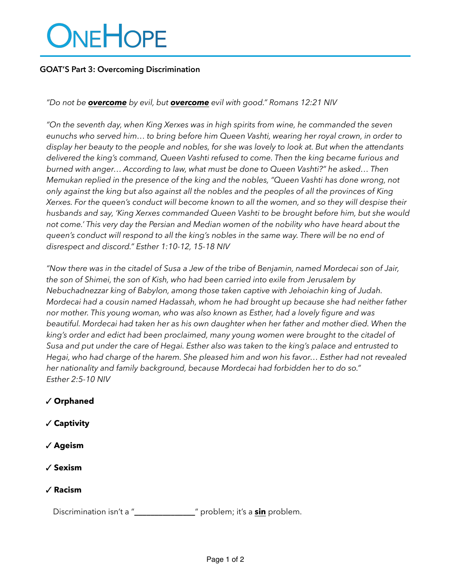# ONEHOPE

#### **GOAT'S Part 3: Overcoming Discrimination**

*"Do not be overcome by evil, but overcome evil with good." Romans 12:21 NIV*

*"On the seventh day, when King Xerxes was in high spirits from wine, he commanded the seven eunuchs who served him… to bring before him Queen Vashti, wearing her royal crown, in order to display her beauty to the people and nobles, for she was lovely to look at. But when the attendants delivered the king's command, Queen Vashti refused to come. Then the king became furious and burned with anger… According to law, what must be done to Queen Vashti?" he asked… Then Memukan replied in the presence of the king and the nobles, "Queen Vashti has done wrong, not only against the king but also against all the nobles and the peoples of all the provinces of King Xerxes. For the queen's conduct will become known to all the women, and so they will despise their husbands and say, 'King Xerxes commanded Queen Vashti to be brought before him, but she would not come.' This very day the Persian and Median women of the nobility who have heard about the queen's conduct will respond to all the king's nobles in the same way. There will be no end of disrespect and discord." Esther 1:10-12, 15-18 NIV*

*"Now there was in the citadel of Susa a Jew of the tribe of Benjamin, named Mordecai son of Jair, the son of Shimei, the son of Kish, who had been carried into exile from Jerusalem by Nebuchadnezzar king of Babylon, among those taken captive with Jehoiachin king of Judah. Mordecai had a cousin named Hadassah, whom he had brought up because she had neither father nor mother. This young woman, who was also known as Esther, had a lovely figure and was beautiful. Mordecai had taken her as his own daughter when her father and mother died. When the king's order and edict had been proclaimed, many young women were brought to the citadel of Susa and put under the care of Hegai. Esther also was taken to the king's palace and entrusted to Hegai, who had charge of the harem. She pleased him and won his favor… Esther had not revealed her nationality and family background, because Mordecai had forbidden her to do so." Esther 2:5-10 NIV*

- ✓ **Orphaned**
- ✓ **Captivity**
- ✓ **Ageism**
- ✓ **Sexism**
- ✓ **Racism**

Discrimination isn't a "**\_\_\_\_\_\_\_\_\_\_\_\_\_\_\_**" problem; it's a **sin** problem.